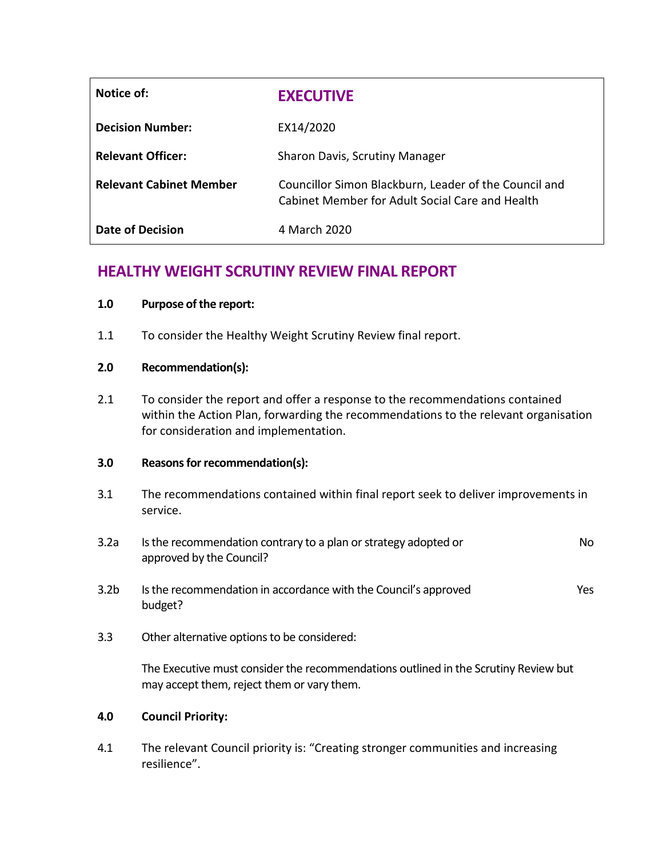| Notice of:                     | <b>EXECUTIVE</b>                                                                                         |
|--------------------------------|----------------------------------------------------------------------------------------------------------|
| <b>Decision Number:</b>        | EX14/2020                                                                                                |
| <b>Relevant Officer:</b>       | Sharon Davis, Scrutiny Manager                                                                           |
| <b>Relevant Cabinet Member</b> | Councillor Simon Blackburn, Leader of the Council and<br>Cabinet Member for Adult Social Care and Health |
| Date of Decision               | 4 March 2020                                                                                             |

# **HEALTHY WEIGHT SCRUTINY REVIEW FINAL REPORT**

# **1.0 Purpose of the report:**

1.1 To consider the Healthy Weight Scrutiny Review final report.

# **2.0 Recommendation(s):**

2.1 To consider the report and offer a response to the recommendations contained within the Action Plan, forwarding the recommendations to the relevant organisation for consideration and implementation.

# **3.0 Reasons for recommendation(s):**

- 3.1 The recommendations contained within final report seek to deliver improvements in service.
- 3.2a Is the recommendation contrary to a plan or strategy adopted or approved by the Council? No
- 3.2b Is the recommendation in accordance with the Council's approved budget? Yes
- 3.3 Other alternative options to be considered:

The Executive must consider the recommendations outlined in the Scrutiny Review but may accept them, reject them or vary them.

# **4.0 Council Priority:**

4.1 The relevant Council priority is: "Creating stronger communities and increasing resilience".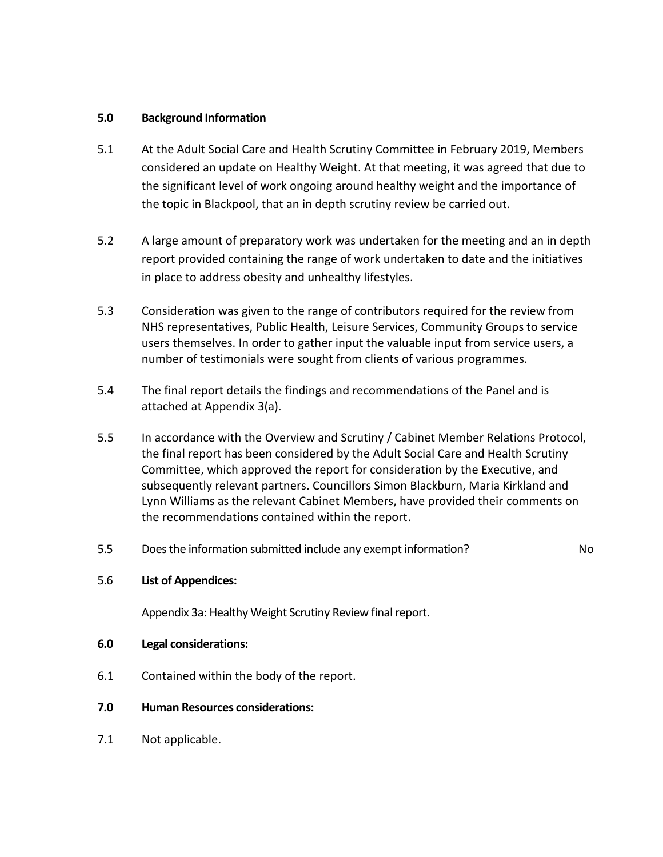# **5.0 Background Information**

- 5.1 At the Adult Social Care and Health Scrutiny Committee in February 2019, Members considered an update on Healthy Weight. At that meeting, it was agreed that due to the significant level of work ongoing around healthy weight and the importance of the topic in Blackpool, that an in depth scrutiny review be carried out.
- 5.2 A large amount of preparatory work was undertaken for the meeting and an in depth report provided containing the range of work undertaken to date and the initiatives in place to address obesity and unhealthy lifestyles.
- 5.3 Consideration was given to the range of contributors required for the review from NHS representatives, Public Health, Leisure Services, Community Groups to service users themselves. In order to gather input the valuable input from service users, a number of testimonials were sought from clients of various programmes.
- 5.4 The final report details the findings and recommendations of the Panel and is attached at Appendix 3(a).
- 5.5 In accordance with the Overview and Scrutiny / Cabinet Member Relations Protocol, the final report has been considered by the Adult Social Care and Health Scrutiny Committee, which approved the report for consideration by the Executive, and subsequently relevant partners. Councillors Simon Blackburn, Maria Kirkland and Lynn Williams as the relevant Cabinet Members, have provided their comments on the recommendations contained within the report.
- 5.5 Does the information submitted include any exempt information? No

# 5.6 **List of Appendices:**

Appendix 3a: Healthy Weight Scrutiny Review final report.

- **6.0 Legal considerations:**
- 6.1 Contained within the body of the report.
- **7.0 Human Resources considerations:**
- 7.1 Not applicable.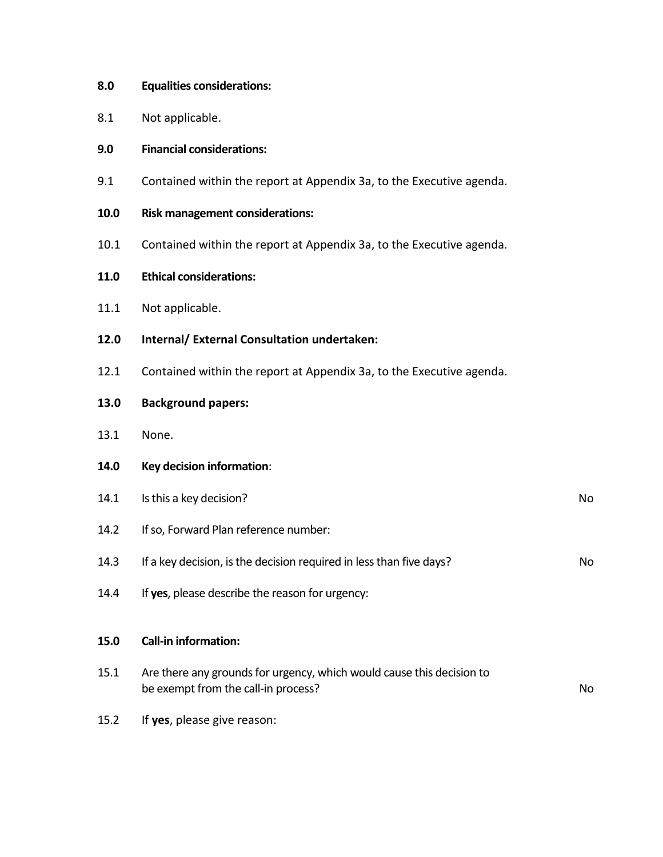## **8.0 Equalities considerations:**

8.1 Not applicable.

## **9.0 Financial considerations:**

- 9.1 Contained within the report at Appendix 3a, to the Executive agenda.
- **10.0 Risk management considerations:**
- 10.1 Contained within the report at Appendix 3a, to the Executive agenda.
- **11.0 Ethical considerations:**
- 11.1 Not applicable.
- **12.0 Internal/ External Consultation undertaken:**
- 12.1 Contained within the report at Appendix 3a, to the Executive agenda.

## **13.0 Background papers:**

- 13.1 None.
- **14.0 Key decision information**:
- 14.1 Is this a key decision? No
- 14.2 If so, Forward Plan reference number:
- 14.3 If a key decision, is the decision required in less than five days?
- 14.4 If **yes**, please describe the reason for urgency:

#### **15.0 Call-in information:**

- 15.1 Are there any grounds for urgency, which would cause this decision to be exempt from the call-in process? No
- 15.2 If **yes**, please give reason: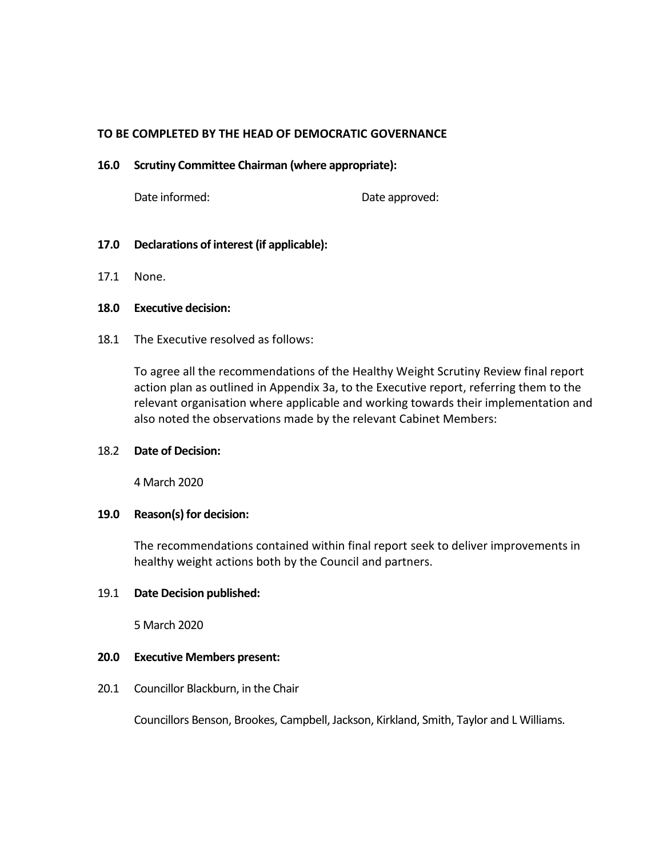## **TO BE COMPLETED BY THE HEAD OF DEMOCRATIC GOVERNANCE**

#### **16.0 Scrutiny Committee Chairman (where appropriate):**

Date informed: Date approved:

## **17.0 Declarations of interest (if applicable):**

17.1 None.

#### **18.0 Executive decision:**

18.1 The Executive resolved as follows:

To agree all the recommendations of the Healthy Weight Scrutiny Review final report action plan as outlined in Appendix 3a, to the Executive report, referring them to the relevant organisation where applicable and working towards their implementation and also noted the observations made by the relevant Cabinet Members:

#### 18.2 **Date of Decision:**

4 March 2020

#### **19.0 Reason(s) for decision:**

The recommendations contained within final report seek to deliver improvements in healthy weight actions both by the Council and partners.

#### 19.1 **Date Decision published:**

5 March 2020

## **20.0 Executive Members present:**

20.1 Councillor Blackburn, in the Chair

Councillors Benson, Brookes, Campbell, Jackson, Kirkland, Smith, Taylor and L Williams.